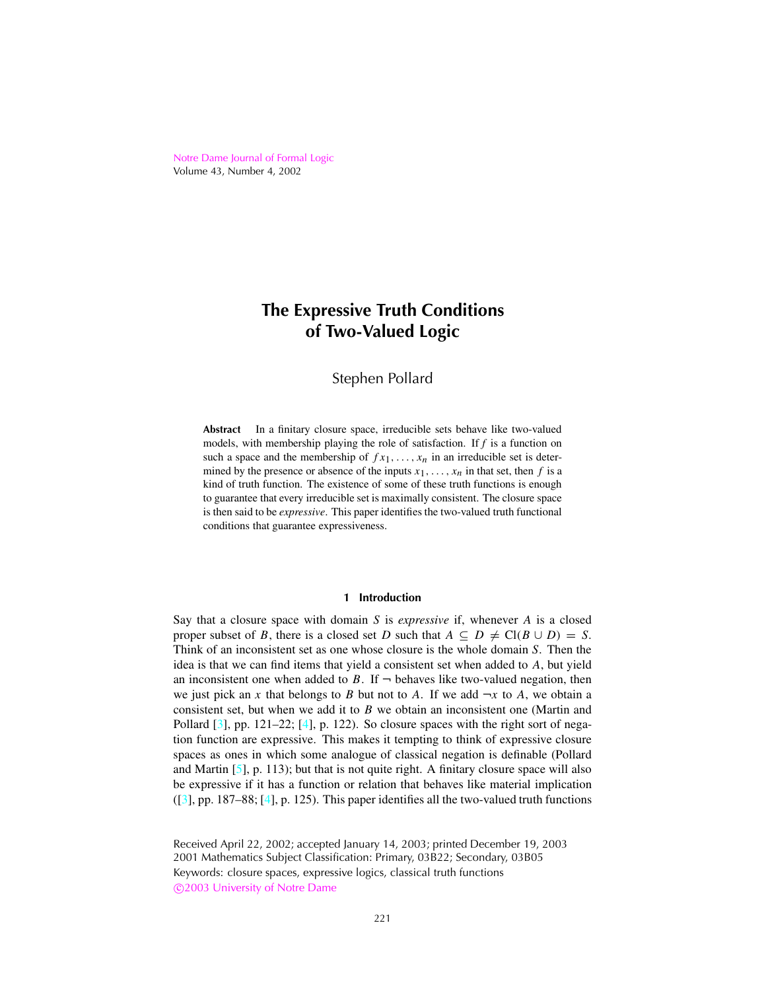<span id="page-0-0"></span>Notre Dame [Journal](http://www.nd.edu/~ndjfl) of Formal Logic Volume 43, Number 4, 2002

# **The Expressive Truth Conditions of Two-Valued Logic**

# Stephen Pollard

**Abstract** In a finitary closure space, irreducible sets behave like two-valued models, with membership playing the role of satisfaction. If *f* is a function on such a space and the membership of  $fx_1, \ldots, x_n$  in an irreducible set is determined by the presence or absence of the inputs  $x_1, \ldots, x_n$  in that set, then *f* is a kind of truth function. The existence of some of these truth functions is enough to guarantee that every irreducible set is maximally consistent. The closure space is then said to be *expressive*. This paper identifies the two-valued truth functional conditions that guarantee expressiveness.

# **1 Introduction**

Say that a closure space with domain *S* is *expressive* if, whenever *A* is a closed proper subset of *B*, there is a closed set *D* such that  $A \subseteq D \neq Cl(B \cup D) = S$ . Think of an inconsistent set as one whose closure is the whole domain *S*. Then the idea is that we can find items that yield a consistent set when added to *A*, but yield an inconsistent one when added to *B*. If  $\neg$  behaves like two-valued negation, then we just pick an *x* that belongs to *B* but not to *A*. If we add  $\neg x$  to *A*, we obtain a consistent set, but when we add it to *B* we obtain an inconsistent one (Martin and Pollard  $[3]$ , pp. 121–22;  $[4]$ , p. 122). So closure spaces with the right sort of negation function are expressive. This makes it tempting to think of expressive closure spaces as ones in which some analogue of classical negation is definable (Pollard and Martin  $[5]$ , p. 113); but that is not quite right. A finitary closure space will also be expressive if it has a function or relation that behaves like material implication ([\[3](#page-8-0)], pp. 187–88; [\[4\]](#page-8-0), p. 125). This paper identifies all the two-valued truth functions

Received April 22, 2002; accepted January 14, 2003; printed December 19, 2003 2001 Mathematics Subject Classification: Primary, 03B22; Secondary, 03B05 Keywords: closure spaces, expressive logics, classical truth functions c 2003 [University](http://www.nd.edu) of Notre Dame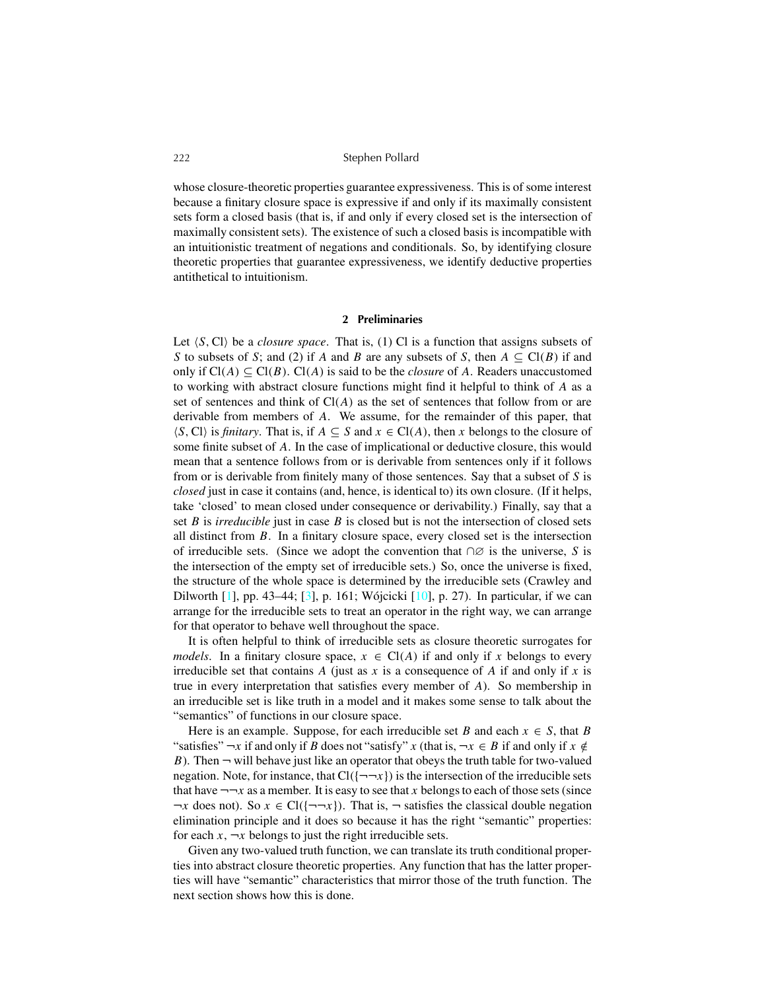<span id="page-1-0"></span>whose closure-theoretic properties guarantee expressiveness. This is of some interest because a finitary closure space is expressive if and only if its maximally consistent sets form a closed basis (that is, if and only if every closed set is the intersection of maximally consistent sets). The existence of such a closed basis is incompatible with an intuitionistic treatment of negations and conditionals. So, by identifying closure theoretic properties that guarantee expressiveness, we identify deductive properties antithetical to intuitionism.

#### **2 Preliminaries**

Let  $\langle S, C \rangle$  be a *closure space*. That is, (1) Cl is a function that assigns subsets of *S* to subsets of *S*; and (2) if *A* and *B* are any subsets of *S*, then  $A \subseteq Cl(B)$  if and only if Cl(*A*) ⊆ Cl(*B*). Cl(*A*) is said to be the *closure* of *A*. Readers unaccustomed to working with abstract closure functions might find it helpful to think of *A* as a set of sentences and think of  $Cl(A)$  as the set of sentences that follow from or are derivable from members of *A*. We assume, for the remainder of this paper, that  $\langle S, C \rangle$  is *finitary*. That is, if  $A \subseteq S$  and  $x \in Cl(A)$ , then *x* belongs to the closure of some finite subset of *A*. In the case of implicational or deductive closure, this would mean that a sentence follows from or is derivable from sentences only if it follows from or is derivable from finitely many of those sentences. Say that a subset of *S* is *closed* just in case it contains (and, hence, is identical to) its own closure. (If it helps, take 'closed' to mean closed under consequence or derivability.) Finally, say that a set *B* is *irreducible* just in case *B* is closed but is not the intersection of closed sets all distinct from *B*. In a finitary closure space, every closed set is the intersection of irreducible sets. (Since we adopt the convention that ∩∅ is the universe, *S* is the intersection of the empty set of irreducible sets.) So, once the universe is fixed, the structure of the whole space is determined by the irreducible sets (Crawley and Dilworth [\[1\]](#page-8-0), pp. 43–44; [\[3](#page-8-0)], p. 161; Wójcicki [\[10\]](#page-9-0), p. 27). In particular, if we can arrange for the irreducible sets to treat an operator in the right way, we can arrange for that operator to behave well throughout the space.

It is often helpful to think of irreducible sets as closure theoretic surrogates for *models*. In a finitary closure space,  $x \in \text{Cl}(A)$  if and only if *x* belongs to every irreducible set that contains A (just as  $x$  is a consequence of A if and only if  $x$  is true in every interpretation that satisfies every member of *A*). So membership in an irreducible set is like truth in a model and it makes some sense to talk about the "semantics" of functions in our closure space.

Here is an example. Suppose, for each irreducible set *B* and each  $x \in S$ , that *B* "satisfies"  $\neg x$  if and only if *B* does not "satisfy" *x* (that is,  $\neg x \in B$  if and only if  $x \notin$ *B*). Then  $\neg$  will behave just like an operator that obeys the truth table for two-valued negation. Note, for instance, that  $Cl({\neg\neg x})$  is the intersection of the irreducible sets that have  $\neg\neg x$  as a member. It is easy to see that *x* belongs to each of those sets (since  $\neg x$  does not). So  $x \in \text{Cl}(\{\neg \neg x\})$ . That is,  $\neg$  satisfies the classical double negation elimination principle and it does so because it has the right "semantic" properties: for each  $x, \neg x$  belongs to just the right irreducible sets.

Given any two-valued truth function, we can translate its truth conditional properties into abstract closure theoretic properties. Any function that has the latter properties will have "semantic" characteristics that mirror those of the truth function. The next section shows how this is done.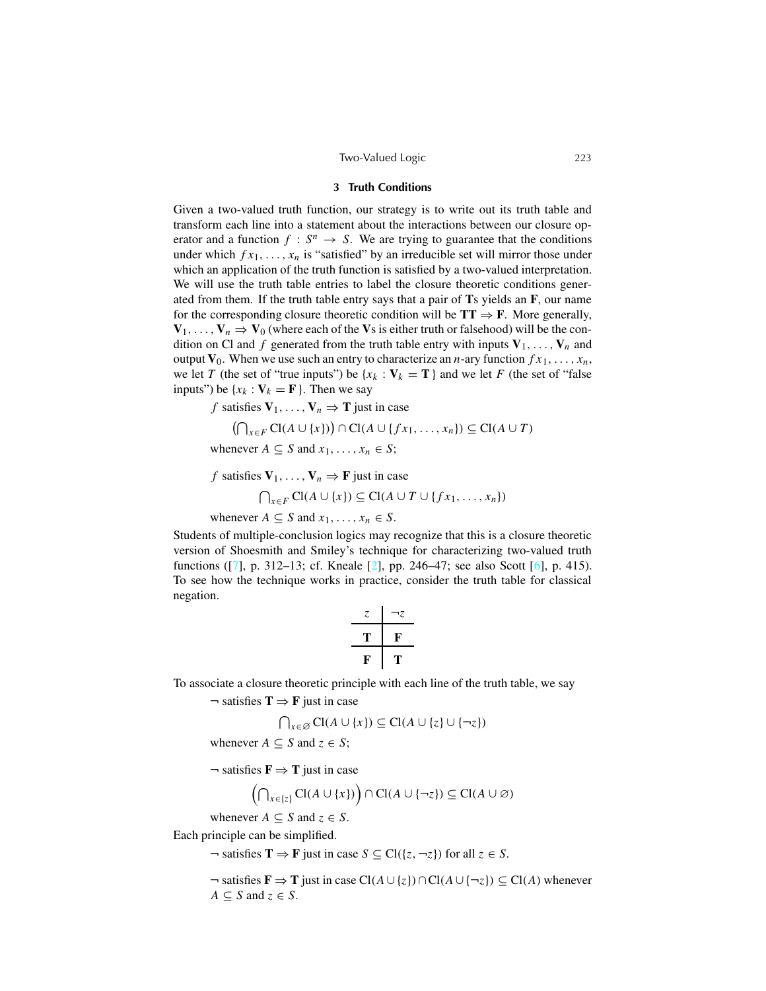#### Two-Valued Logic 223

#### **3 Truth Conditions**

<span id="page-2-0"></span>Given a two-valued truth function, our strategy is to write out its truth table and transform each line into a statement about the interactions between our closure operator and a function  $f : S^n \to S$ . We are trying to guarantee that the conditions under which  $f x_1, \ldots, x_n$  is "satisfied" by an irreducible set will mirror those under which an application of the truth function is satisfied by a two-valued interpretation. We will use the truth table entries to label the closure theoretic conditions generated from them. If the truth table entry says that a pair of **T**s yields an **F**, our name for the corresponding closure theoretic condition will be  $TT \Rightarrow F$ . More generally,  $V_1, \ldots, V_n \Rightarrow V_0$  (where each of the Vs is either truth or falsehood) will be the condition on Cl and f generated from the truth table entry with inputs  $V_1, \ldots, V_n$  and output  $V_0$ . When we use such an entry to characterize an *n*-ary function  $fx_1, \ldots, x_n$ , we let *T* (the set of "true inputs") be  $\{x_k : V_k = T\}$  and we let *F* (the set of "false") inputs") be  $\{x_k : \mathbf{V}_k = \mathbf{F}\}\$ . Then we say

*f* satisfies  $V_1, \ldots, V_n \Rightarrow T$  just in case

$$
(\bigcap_{x \in F} \mathrm{Cl}(A \cup \{x\}) \cap \mathrm{Cl}(A \cup \{fx_1, \ldots, x_n\}) \subseteq \mathrm{Cl}(A \cup T)
$$

whenever  $A \subseteq S$  and  $x_1, \ldots, x_n \in S$ ;

*f* satisfies  $V_1, \ldots, V_n \Rightarrow F$  just in case

$$
\bigcap_{x \in F} \text{Cl}(A \cup \{x\}) \subseteq \text{Cl}(A \cup T \cup \{fx_1, \ldots, x_n\})
$$

whenever  $A \subseteq S$  and  $x_1, \ldots, x_n \in S$ .

Students of multiple-conclusion logics may recognize that this is a closure theoretic version of Shoesmith and Smiley's technique for characterizing two-valued truth functions ([\[7\]](#page-8-0), p. 312–13; cf. Kneale [\[2\]](#page-8-0), pp. 246–47; see also Scott [\[6](#page-8-0)], p. 415). To see how the technique works in practice, consider the truth table for classical negation.

$$
\begin{array}{c|c}\n z & \neg z \\
\hline\n \text{T} & \text{F} \\
\hline\n \text{F} & \text{T}\n \end{array}
$$

To associate a closure theoretic principle with each line of the truth table, we say

 $\neg$  satisfies  $T \Rightarrow F$  just in case

$$
\bigcap_{x \in \varnothing} \mathrm{Cl}(A \cup \{x\}) \subseteq \mathrm{Cl}(A \cup \{z\} \cup \{\neg z\})
$$

whenever  $A \subseteq S$  and  $z \in S$ ;

 $\neg$  satisfies  $\mathbf{F} \Rightarrow \mathbf{T}$  just in case

$$
\left(\bigcap_{x\in\{z\}}\mathrm{Cl}(A\cup\{x\})\right)\cap\mathrm{Cl}(A\cup\{\neg z\})\subseteq\mathrm{Cl}(A\cup\varnothing)
$$

whenever  $A \subseteq S$  and  $z \in S$ .

Each principle can be simplified.

 $\lnot$  satisfies  $\mathbf{T} \Rightarrow \mathbf{F}$  just in case  $S \subseteq \text{Cl}(\{z, \lnot z\})$  for all  $z \in S$ .

¬ satisfies **F** ⇒ **T** just in case Cl(*A* ∪{*z*})∩Cl(*A* ∪{¬*z*}) ⊆ Cl(*A*) whenever  $A \subseteq S$  and  $z \in S$ .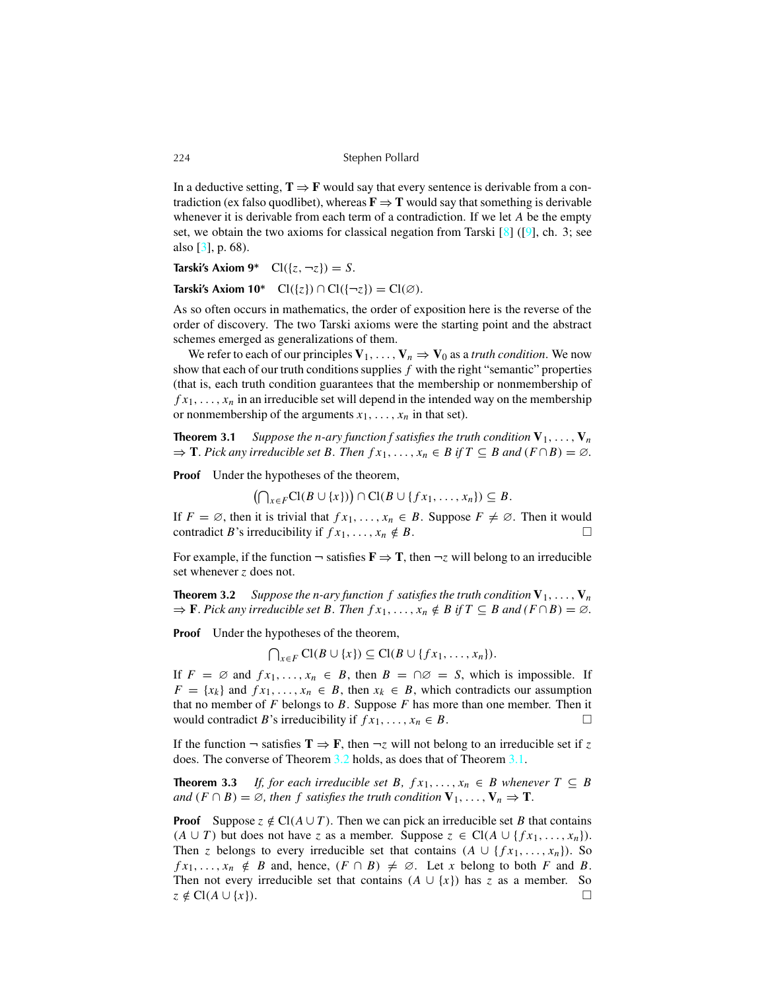In a deductive setting,  $T \Rightarrow F$  would say that every sentence is derivable from a contradiction (ex falso quodlibet), whereas  $\mathbf{F} \Rightarrow \mathbf{T}$  would say that something is derivable whenever it is derivable from each term of a contradiction. If we let *A* be the empty set, we obtain the two axioms for classical negation from Tarski  $[8]$  ([\[9](#page-9-0)], ch. 3; see also [\[3\]](#page-8-0), p. 68).

**Tarski's** Axiom  $9^*$   $Cl({z, -z}) = S$ .

**Tarski's** Axiom  $10^*$   $Cl({z}) \cap Cl({{\neg z}}) = Cl(\emptyset)$ .

As so often occurs in mathematics, the order of exposition here is the reverse of the order of discovery. The two Tarski axioms were the starting point and the abstract schemes emerged as generalizations of them.

We refer to each of our principles  $V_1, \ldots, V_n \Rightarrow V_0$  as a *truth condition*. We now show that each of our truth conditions supplies  $f$  with the right "semantic" properties (that is, each truth condition guarantees that the membership or nonmembership of  $f x_1, \ldots, x_n$  in an irreducible set will depend in the intended way on the membership or nonmembership of the arguments  $x_1, \ldots, x_n$  in that set).

**Theorem 3.1** Suppose the *n*-ary function f satisfies the truth condition  $V_1, \ldots, V_n$  $\Rightarrow$  **T**. Pick any irreducible set B. Then  $fx_1, \ldots, x_n \in B$  if  $T \subseteq B$  and  $(F \cap B) = \emptyset$ .

**Proof** Under the hypotheses of the theorem,

 $(\bigcap_{x \in F} \text{Cl}(B \cup \{x\})\big) \cap \text{Cl}(B \cup \{fx_1, ..., x_n\}) \subseteq B.$ 

If  $F = \emptyset$ , then it is trivial that  $fx_1, \ldots, x_n \in B$ . Suppose  $F \neq \emptyset$ . Then it would contradict *B*'s irreducibility if  $f x_1, \ldots, x_n \notin B$ .

For example, if the function  $\neg$  satisfies  $\mathbf{F} \Rightarrow \mathbf{T}$ , then  $\neg z$  will belong to an irreducible set whenever *z* does not.

**Theorem 3.2** Suppose the *n*-ary function f satisfies the truth condition  $V_1, \ldots, V_n$  $\Rightarrow$  **F**. Pick any irreducible set B. Then  $fx_1, \ldots, x_n \notin B$  if  $T \subseteq B$  and  $(F \cap B) = \emptyset$ .

**Proof** Under the hypotheses of the theorem,

 $\bigcap_{x \in F} \text{Cl}(B \cup \{x\}) \subseteq \text{Cl}(B \cup \{fx_1, \ldots, x_n\}).$ 

If  $F = \emptyset$  and  $fx_1, \ldots, x_n \in B$ , then  $B = \bigcap \emptyset = S$ , which is impossible. If  $F = \{x_k\}$  and  $fx_1, \ldots, x_n \in B$ , then  $x_k \in B$ , which contradicts our assumption that no member of *F* belongs to *B*. Suppose *F* has more than one member. Then it would contradict *B*'s irreducibility if  $fx_1, \ldots, x_n \in B$ .

If the function  $\neg$  satisfies  $\mathbf{T} \Rightarrow \mathbf{F}$ , then  $\neg z$  will not belong to an irreducible set if z does. The converse of Theorem 3.2 holds, as does that of Theorem 3.1.

**Theorem 3.3** *If, for each irreducible set B,*  $f x_1, \ldots, x_n \in B$  *whenever*  $T \subseteq B$ *and*  $(F \cap B) = \emptyset$ *, then f satisfies the truth condition*  $V_1, \ldots, V_n \Rightarrow T$ .

**Proof** Suppose  $z \notin \text{Cl}(A \cup T)$ . Then we can pick an irreducible set *B* that contains (*A* ∪ *T*) but does not have *z* as a member. Suppose  $z \text{ ∈ } Cl(A ∪ {f x<sub>1</sub>, ..., x<sub>n</sub>}).$ Then *z* belongs to every irreducible set that contains  $(A \cup \{fx_1, \ldots, x_n\})$ . So  $fx_1, \ldots, x_n \notin B$  and, hence,  $(F \cap B) \neq \emptyset$ . Let *x* belong to both *F* and *B*. Then not every irreducible set that contains  $(A \cup \{x\})$  has *z* as a member. So  $z \notin \text{Cl}(A \cup \{x\}).$ 

<span id="page-3-0"></span>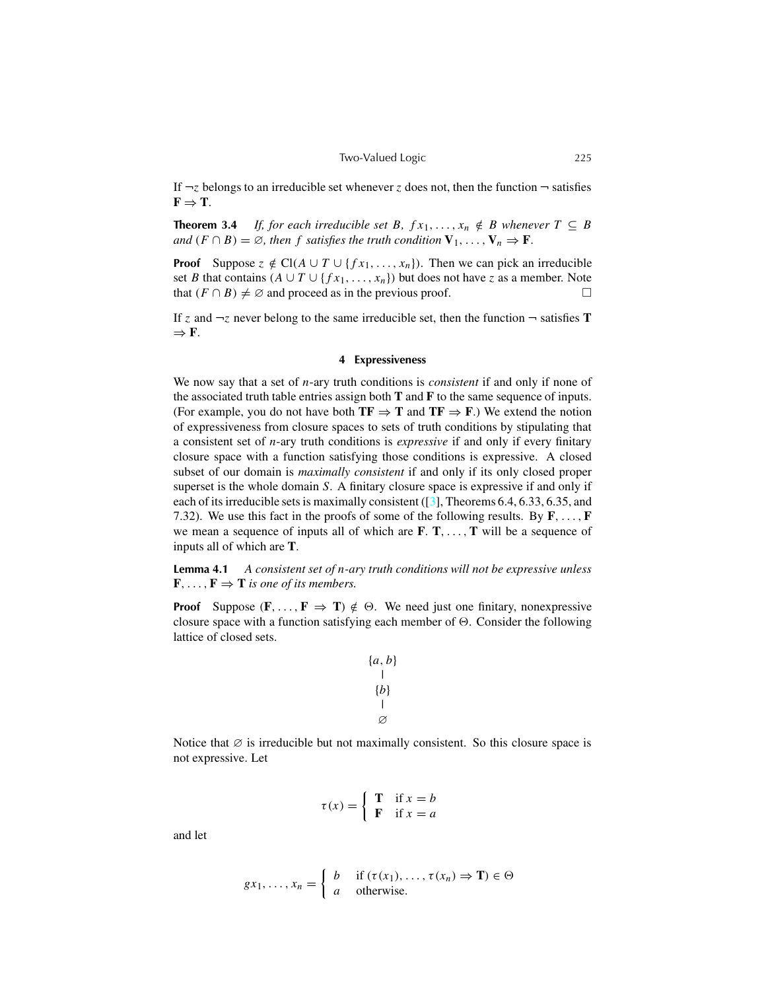<span id="page-4-0"></span>If  $\neg z$  belongs to an irreducible set whenever *z* does not, then the function  $\neg$  satisfies  $\mathbf{F} \Rightarrow \mathbf{T}$ .

**Theorem 3.4** *If, for each irreducible set B,*  $f x_1, \ldots, x_n \notin B$  *whenever*  $T \subseteq B$ *and*  $(F \cap B) = \emptyset$ *, then f satisfies the truth condition*  $V_1, \ldots, V_n \Rightarrow F$ .

**Proof** Suppose  $z \notin \text{Cl}(A \cup T \cup \{fx_1, \ldots, x_n\})$ . Then we can pick an irreducible set *B* that contains  $(A \cup T \cup \{fx_1, \ldots, x_n\})$  but does not have *z* as a member. Note that  $(F \cap B) \neq \emptyset$  and proceed as in the previous proof.

If *z* and  $\neg$ *z* never belong to the same irreducible set, then the function  $\neg$  satisfies **T** ⇒ **F**.

#### **4 Expressiveness**

We now say that a set of *n*-ary truth conditions is *consistent* if and only if none of the associated truth table entries assign both **T** and **F** to the same sequence of inputs. (For example, you do not have both  $TF \Rightarrow T$  and  $TF \Rightarrow F$ .) We extend the notion of expressiveness from closure spaces to sets of truth conditions by stipulating that a consistent set of *n*-ary truth conditions is *expressive* if and only if every finitary closure space with a function satisfying those conditions is expressive. A closed subset of our domain is *maximally consistent* if and only if its only closed proper superset is the whole domain *S*. A finitary closure space is expressive if and only if each of its irreducible sets is maximally consistent  $(3)$ , Theorems 6.4, 6.33, 6.35, and 7.32). We use this fact in the proofs of some of the following results. By **F**, . . ., **F** we mean a sequence of inputs all of which are **F**. **T**, . . ., **T** will be a sequence of inputs all of which are **T**.

**Lemma 4.1** *A consistent set of n-ary truth conditions will not be expressive unless*  $\mathbf{F}, \ldots, \mathbf{F} \Rightarrow \mathbf{T}$  *is one of its members.* 

**Proof** Suppose  $(\mathbf{F}, \dots, \mathbf{F} \Rightarrow \mathbf{T}) \notin \Theta$ . We need just one finitary, nonexpressive closure space with a function satisfying each member of  $\Theta$ . Consider the following lattice of closed sets.

$$
{a, b}
$$
  
|\n  
|\n  
|\n  
0\n  
\n
$$
|
$$

Notice that  $\emptyset$  is irreducible but not maximally consistent. So this closure space is not expressive. Let

$$
\tau(x) = \begin{cases} \mathbf{T} & \text{if } x = b \\ \mathbf{F} & \text{if } x = a \end{cases}
$$

and let

$$
gx_1, \dots, x_n = \begin{cases} b & \text{if } (\tau(x_1), \dots, \tau(x_n) \Rightarrow \mathbf{T}) \in \Theta \\ a & \text{otherwise.} \end{cases}
$$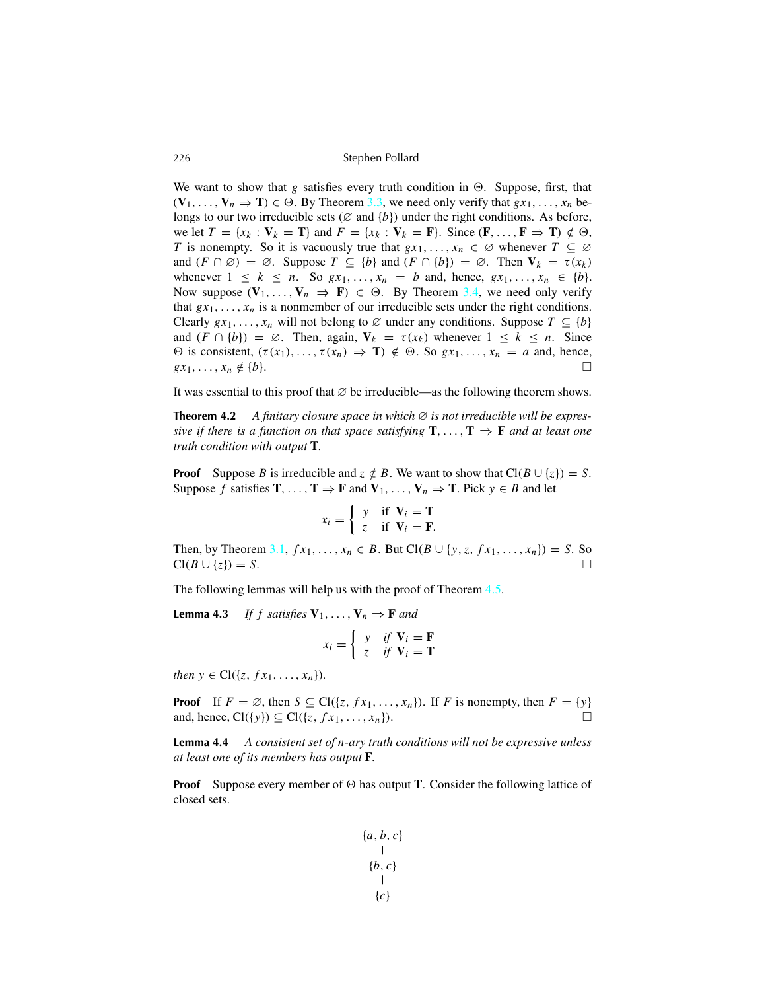We want to show that *g* satisfies every truth condition in  $\Theta$ . Suppose, first, that  $(\mathbf{V}_1, \ldots, \mathbf{V}_n \Rightarrow \mathbf{T}) \in \Theta$ . By Theorem [3.3,](#page-3-0) we need only verify that  $gx_1, \ldots, x_n$  belongs to our two irreducible sets ( $\varnothing$  and  $\{b\}$ ) under the right conditions. As before, we let  $T = \{x_k : V_k = T\}$  and  $F = \{x_k : V_k = F\}$ . Since  $(F, \ldots, F \Rightarrow T) \notin \Theta$ , *T* is nonempty. So it is vacuously true that  $gx_1, \ldots, x_n \in \emptyset$  whenever  $T \subseteq \emptyset$ and  $(F \cap \emptyset) = \emptyset$ . Suppose  $T \subseteq \{b\}$  and  $(F \cap \{b\}) = \emptyset$ . Then  $V_k = \tau(x_k)$ whenever  $1 \leq k \leq n$ . So  $gx_1, \ldots, x_n = b$  and, hence,  $gx_1, \ldots, x_n \in \{b\}$ . Now suppose  $(\mathbf{V}_1, \dots, \mathbf{V}_n \Rightarrow \mathbf{F}) \in \Theta$ . By Theorem [3.4,](#page-4-0) we need only verify that  $gx_1, \ldots, x_n$  is a nonmember of our irreducible sets under the right conditions. Clearly  $gx_1, \ldots, x_n$  will not belong to  $\emptyset$  under any conditions. Suppose  $T \subseteq \{b\}$ and  $(F \cap \{b\}) = \emptyset$ . Then, again,  $V_k = \tau(x_k)$  whenever  $1 \leq k \leq n$ . Since  $\Theta$  is consistent,  $(\tau(x_1), \ldots, \tau(x_n) \Rightarrow \mathbf{T}) \notin \Theta$ . So  $gx_1, \ldots, x_n = a$  and, hence,  $gx_1, \ldots, x_n \notin \{b\}.$ 

It was essential to this proof that  $\varnothing$  be irreducible—as the following theorem shows.

**Theorem 4.2** A finitary closure space in which  $\emptyset$  is not irreducible will be expres*sive if there is a function on that space satisfying* **T**, ..., **T**  $\Rightarrow$  **F** *and at least one truth condition with output* **T***.*

**Proof** Suppose *B* is irreducible and  $z \notin B$ . We want to show that  $Cl(B \cup \{z\}) = S$ . Suppose *f* satisfies **T**, . . . , **T**  $\Rightarrow$  **F** and **V**<sub>1</sub>, . . . , **V**<sub>*n*</sub>  $\Rightarrow$  **T**. Pick  $y \in B$  and let

$$
x_i = \left\{ \begin{array}{ll} y & \text{if } \mathbf{V}_i = \mathbf{T} \\ z & \text{if } \mathbf{V}_i = \mathbf{F} \end{array} \right.
$$

Then, by Theorem [3.1,](#page-3-0) *f*  $x_1$ , . . . ,  $x_n$  ∈ *B*. But Cl(*B* ∪ {*y*, *z*, *f*  $x_1$ , . . . ,  $x_n$ }) = *S*. So  $Cl(B \cup \{z\}) = S.$ 

The following lemmas will help us with the proof of Theorem [4.5.](#page-6-0)

**Lemma** 4.3 *If f satisfies*  $V_1, \ldots, V_n \Rightarrow$  **F** *and* 

$$
x_i = \begin{cases} y & \text{if } \mathbf{V}_i = \mathbf{F} \\ z & \text{if } \mathbf{V}_i = \mathbf{T} \end{cases}
$$

*then*  $y \in Cl({z, fx_1, ..., x_n}).$ 

**Proof** If  $F = \emptyset$ , then  $S \subseteq Cl(\lbrace z, fx_1, \ldots, x_n \rbrace)$ . If *F* is nonempty, then  $F = \lbrace y \rbrace$ and, hence,  $Cl({\gamma}) \subseteq Cl({z, fx_1, ..., x_n}).$ 

**Lemma 4.4** *A consistent set of n-ary truth conditions will not be expressive unless at least one of its members has output* **F***.*

**Proof** Suppose every member of  $\Theta$  has output **T**. Consider the following lattice of closed sets.

$$
{a, b, c}
$$
  
|\n
$$
{b, c}
$$
  
|\n
$$
{c}
$$

<span id="page-5-0"></span>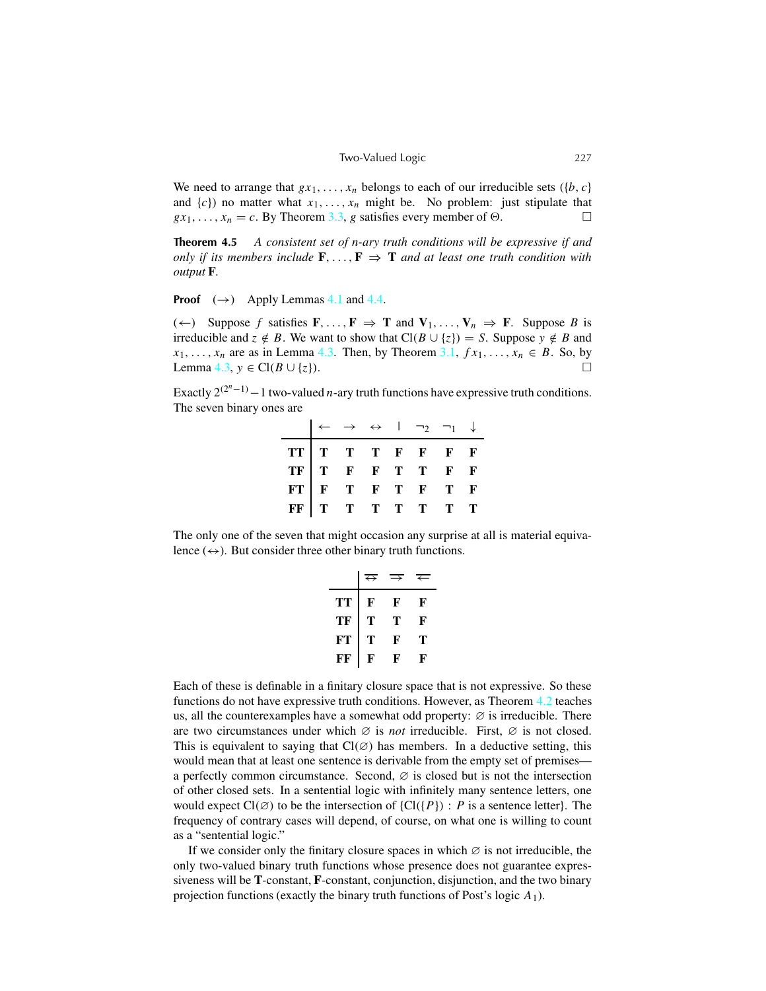<span id="page-6-0"></span>We need to arrange that  $gx_1, \ldots, x_n$  belongs to each of our irreducible sets ({*b*, *c*} and  $\{c\}$ ) no matter what  $x_1, \ldots, x_n$  might be. No problem: just stipulate that  $gx_1, \ldots, x_n = c$ . By Theorem [3.3,](#page-3-0) *g* satisfies every member of  $\Theta$ .

**Theorem 4.5** *A consistent set of n-ary truth conditions will be expressive if and only if its members include*  $\mathbf{F}, \ldots, \mathbf{F} \Rightarrow \mathbf{T}$  *and at least one truth condition with output* **F***.*

**Proof**  $(\rightarrow)$  Apply Lemmas [4.1](#page-4-0) and [4.4.](#page-5-0)

(←) Suppose *f* satisfies **F**, ..., **F**  $\Rightarrow$  **T** and **V**<sub>1</sub>, ..., **V**<sub>*n*</sub>  $\Rightarrow$  **F**. Suppose *B* is irreducible and  $z \notin B$ . We want to show that  $Cl(B \cup \{z\}) = S$ . Suppose  $y \notin B$  and  $x_1, \ldots, x_n$  are as in Lemma [4.3.](#page-5-0) Then, by Theorem [3.1,](#page-3-0)  $fx_1, \ldots, x_n \in B$ . So, by Lemma [4.3,](#page-5-0) *y* ∈ Cl(*B* ∪ {*z*}).

Exactly  $2^{(2^n-1)} - 1$  two-valued *n*-ary truth functions have expressive truth conditions. The seven binary ones are

|  |  | $\leftarrow$ $\rightarrow$ $\leftrightarrow$   $\neg$ <sub>2</sub> $\neg$ <sub>1</sub> $\downarrow$ |  |
|--|--|-----------------------------------------------------------------------------------------------------|--|
|  |  |                                                                                                     |  |
|  |  |                                                                                                     |  |
|  |  |                                                                                                     |  |
|  |  |                                                                                                     |  |

The only one of the seven that might occasion any surprise at all is material equivalence  $(\leftrightarrow)$ . But consider three other binary truth functions.

|    | $\leftrightarrow$ |   |   |
|----|-------------------|---|---|
| TТ | F                 | F | F |
| ТF | т                 | т | F |
| FТ | т                 | F | т |
| FF | F                 | F | F |

Each of these is definable in a finitary closure space that is not expressive. So these functions do not have expressive truth conditions. However, as Theorem [4.2](#page-5-0) teaches us, all the counterexamples have a somewhat odd property:  $\varnothing$  is irreducible. There are two circumstances under which ∅ is *not* irreducible. First, ∅ is not closed. This is equivalent to saying that  $Cl(\emptyset)$  has members. In a deductive setting, this would mean that at least one sentence is derivable from the empty set of premises a perfectly common circumstance. Second,  $\varnothing$  is closed but is not the intersection of other closed sets. In a sentential logic with infinitely many sentence letters, one would expect  $Cl(\emptyset)$  to be the intersection of  ${Cl({P}) : P}$  is a sentence letter}. The frequency of contrary cases will depend, of course, on what one is willing to count as a "sentential logic."

If we consider only the finitary closure spaces in which  $\varnothing$  is not irreducible, the only two-valued binary truth functions whose presence does not guarantee expressiveness will be **T**-constant, **F**-constant, conjunction, disjunction, and the two binary projection functions (exactly the binary truth functions of Post's logic  $A_1$ ).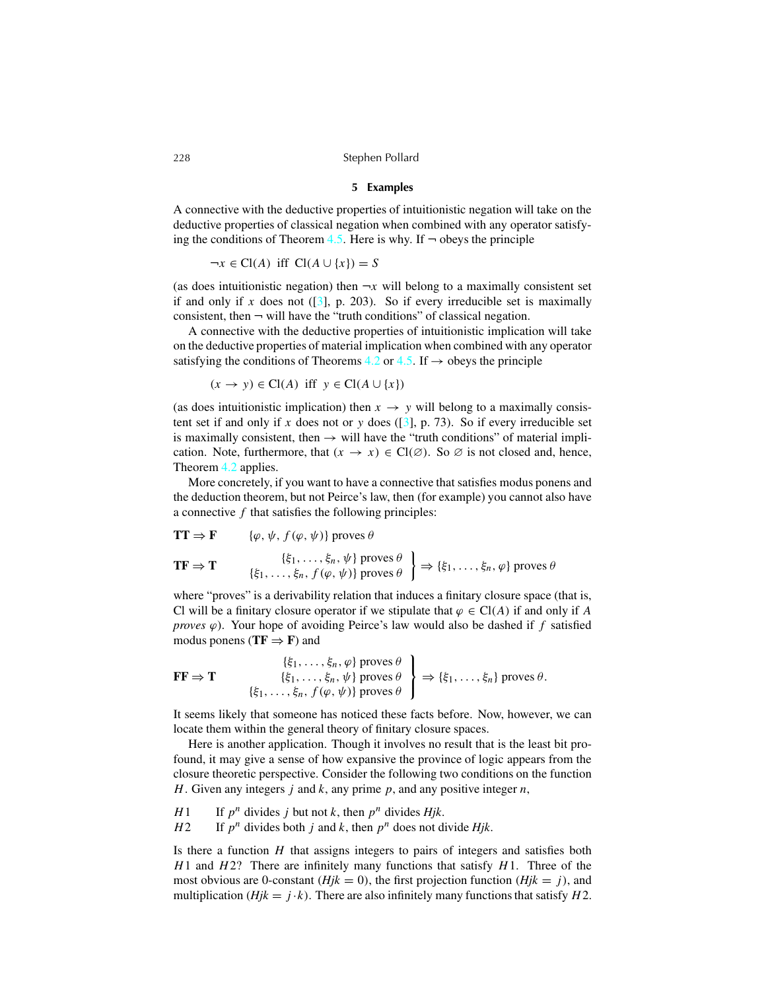#### **5 Examples**

<span id="page-7-0"></span>A connective with the deductive properties of intuitionistic negation will take on the deductive properties of classical negation when combined with any operator satisfy-ing the conditions of Theorem [4.5.](#page-6-0) Here is why. If  $\neg$  obeys the principle

 $\neg x \in \text{Cl}(A)$  iff  $\text{Cl}(A \cup \{x\}) = S$ 

(as does intuitionistic negation) then  $\neg x$  will belong to a maximally consistent set if and only if  $x$  does not ( $\begin{bmatrix} 3 \end{bmatrix}$ , p. 203). So if every irreducible set is maximally consistent, then  $\neg$  will have the "truth conditions" of classical negation.

A connective with the deductive properties of intuitionistic implication will take on the deductive properties of material implication when combined with any operator satisfying the conditions of Theorems [4.2](#page-5-0) or [4.5.](#page-6-0) If  $\rightarrow$  obeys the principle

$$
(x \rightarrow y) \in \text{Cl}(A) \text{ iff } y \in \text{Cl}(A \cup \{x\})
$$

(as does intuitionistic implication) then  $x \to y$  will belong to a maximally consistent set if and only if x does not or y does  $(3)$ , p. 73). So if every irreducible set is maximally consistent, then  $\rightarrow$  will have the "truth conditions" of material implication. Note, furthermore, that  $(x \to x) \in Cl(\emptyset)$ . So  $\emptyset$  is not closed and, hence, Theorem [4.2](#page-5-0) applies.

More concretely, if you want to have a connective that satisfies modus ponens and the deduction theorem, but not Peirce's law, then (for example) you cannot also have a connective *f* that satisfies the following principles:

$$
\mathbf{TF} \Rightarrow \mathbf{F} \qquad \{\varphi, \psi, f(\varphi, \psi)\} \text{ proves } \theta
$$
\n
$$
\mathbf{TF} \Rightarrow \mathbf{T} \qquad \{\xi_1, \dots, \xi_n, \psi\} \text{ proves } \theta \} \Rightarrow \{\xi_1, \dots, \xi_n, \varphi\} \text{ proves } \theta
$$

where "proves" is a derivability relation that induces a finitary closure space (that is, Cl will be a finitary closure operator if we stipulate that  $\varphi \in Cl(A)$  if and only if A *proves*  $\varphi$ ). Your hope of avoiding Peirce's law would also be dashed if  $f$  satisfied modus ponens ( $TF \Rightarrow F$ ) and

$$
\mathbf{FF} \Rightarrow \mathbf{T} \qquad \{\xi_1, \ldots, \xi_n, \psi\} \text{ proves } \theta \} \Rightarrow \{\xi_1, \ldots, \xi_n, \psi\} \text{ proves } \theta \} \Rightarrow \{\xi_1, \ldots, \xi_n\} \text{ proves } \theta.
$$

It seems likely that someone has noticed these facts before. Now, however, we can locate them within the general theory of finitary closure spaces.

Here is another application. Though it involves no result that is the least bit profound, it may give a sense of how expansive the province of logic appears from the closure theoretic perspective. Consider the following two conditions on the function *H*. Given any integers *j* and *k*, any prime *p*, and any positive integer *n*,

*H*<sup>1</sup> If  $p^n$  divides *j* but not *k*, then  $p^n$  divides *Hjk*.

*H*<sup>2</sup> If  $p^n$  divides both *j* and *k*, then  $p^n$  does not divide *Hjk*.

Is there a function *H* that assigns integers to pairs of integers and satisfies both *H*1 and *H*2? There are infinitely many functions that satisfy *H*1. Three of the most obvious are 0-constant ( $Hjk = 0$ ), the first projection function ( $Hjk = j$ ), and multiplication ( $Hjk = j \cdot k$ ). There are also infinitely many functions that satisfy  $H2$ .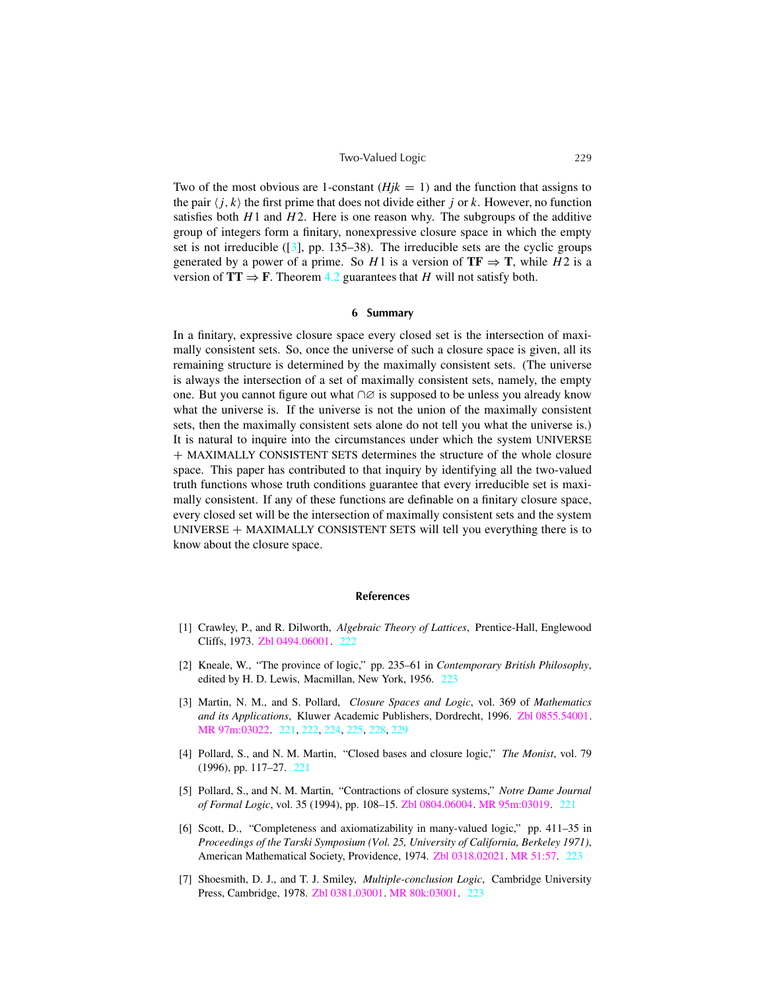#### Two-Valued Logic 229

<span id="page-8-0"></span>Two of the most obvious are 1-constant  $(Hjk = 1)$  and the function that assigns to the pair  $\langle j, k \rangle$  the first prime that does not divide either *j* or *k*. However, no function satisfies both  $H1$  and  $H2$ . Here is one reason why. The subgroups of the additive group of integers form a finitary, nonexpressive closure space in which the empty set is not irreducible  $(3]$ , pp. 135–38). The irreducible sets are the cyclic groups generated by a power of a prime. So  $H1$  is a version of  $TF \Rightarrow T$ , while  $H2$  is a version of  $TT \Rightarrow F$ . Theorem [4.2](#page-5-0) guarantees that *H* will not satisfy both.

#### **6 Summary**

In a finitary, expressive closure space every closed set is the intersection of maximally consistent sets. So, once the universe of such a closure space is given, all its remaining structure is determined by the maximally consistent sets. (The universe is always the intersection of a set of maximally consistent sets, namely, the empty one. But you cannot figure out what ∩∅ is supposed to be unless you already know what the universe is. If the universe is not the union of the maximally consistent sets, then the maximally consistent sets alone do not tell you what the universe is.) It is natural to inquire into the circumstances under which the system UNIVERSE + MAXIMALLY CONSISTENT SETS determines the structure of the whole closure space. This paper has contributed to that inquiry by identifying all the two-valued truth functions whose truth conditions guarantee that every irreducible set is maximally consistent. If any of these functions are definable on a finitary closure space, every closed set will be the intersection of maximally consistent sets and the system UNIVERSE + MAXIMALLY CONSISTENT SETS will tell you everything there is to know about the closure space.

### **References**

- [1] Crawley, P., and R. Dilworth, *Algebraic Theory of Lattices*, Prentice-Hall, Englewood Cliffs, 1973. Zbl [0494.06001.](http://www.emis.de/cgi-bin/MATH-item?0494.06001) [222](#page-1-0)
- [2] Kneale, W., "The province of logic," pp. 235–61 in *Contemporary British Philosophy*, edited by H. D. Lewis, Macmillan, New York, 1956. [223](#page-2-0)
- [3] Martin, N. M., and S. Pollard, *Closure Spaces and Logic*, vol. 369 of *Mathematics and its Applications*, Kluwer Academic Publishers, Dordrecht, 1996. Zbl [0855.54001.](http://www.emis.de/cgi-bin/MATH-item?0855.54001) MR [97m:03022.](http://www.ams.org/mathscinet-getitem?mr=97m:03022) [221,](#page-0-0) [222,](#page-1-0) [224,](#page-3-0) [225,](#page-4-0) [228,](#page-7-0) 229
- [4] Pollard, S., and N. M. Martin, "Closed bases and closure logic," *The Monist*, vol. 79 (1996), pp. 117–27. [221](#page-0-0)
- [5] Pollard, S., and N. M. Martin, "Contractions of closure systems," *Notre Dame Journal of Formal Logic*, vol. 35 (1994), pp. 108–15. Zbl [0804.06004.](http://www.emis.de/cgi-bin/MATH-item?0804.06004) MR [95m:03019.](http://www.ams.org/mathscinet-getitem?mr=95m:03019) [221](#page-0-0)
- [6] Scott, D., "Completeness and axiomatizability in many-valued logic," pp. 411–35 in *Proceedings of the Tarski Symposium (Vol. 25, University of California, Berkeley 1971)*, American Mathematical Society, Providence, 1974. Zbl [0318.02021.](http://www.emis.de/cgi-bin/MATH-item?0318.02021) MR [51:57.](http://www.ams.org/mathscinet-getitem?mr=51:57) [223](#page-2-0)
- [7] Shoesmith, D. J., and T. J. Smiley, *Multiple-conclusion Logic*, Cambridge University Press, Cambridge, 1978. Zbl [0381.03001.](http://www.emis.de/cgi-bin/MATH-item?0381.03001) MR [80k:03001.](http://www.ams.org/mathscinet-getitem?mr=80k:03001) [223](#page-2-0)